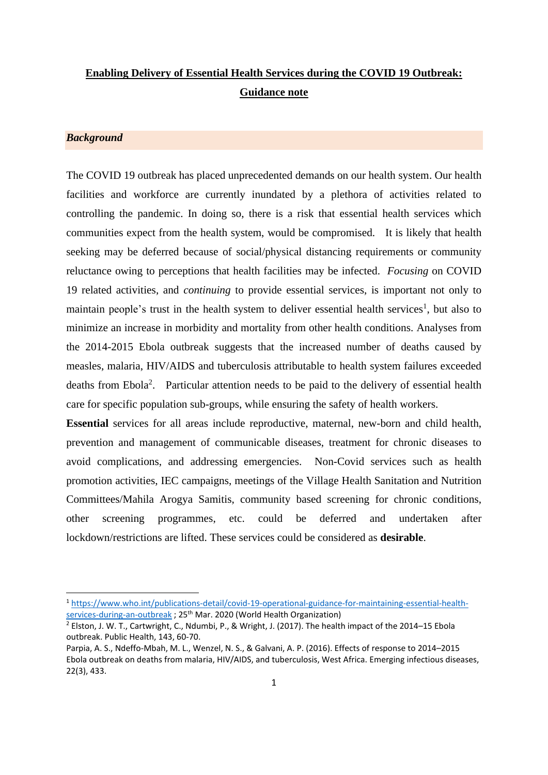# **Enabling Delivery of Essential Health Services during the COVID 19 Outbreak: Guidance note**

#### *Background*

The COVID 19 outbreak has placed unprecedented demands on our health system. Our health facilities and workforce are currently inundated by a plethora of activities related to controlling the pandemic. In doing so, there is a risk that essential health services which communities expect from the health system, would be compromised. It is likely that health seeking may be deferred because of social/physical distancing requirements or community reluctance owing to perceptions that health facilities may be infected. *Focusing* on COVID 19 related activities, and *continuing* to provide essential services, is important not only to maintain people's trust in the health system to deliver essential health services<sup>1</sup>, but also to minimize an increase in morbidity and mortality from other health conditions. Analyses from the 2014-2015 Ebola outbreak suggests that the increased number of deaths caused by measles, malaria, HIV/AIDS and tuberculosis attributable to health system failures exceeded deaths from Ebola<sup>2</sup>. Particular attention needs to be paid to the delivery of essential health care for specific population sub-groups, while ensuring the safety of health workers.

**Essential** services for all areas include reproductive, maternal, new-born and child health, prevention and management of communicable diseases, treatment for chronic diseases to avoid complications, and addressing emergencies. Non-Covid services such as health promotion activities, IEC campaigns, meetings of the Village Health Sanitation and Nutrition Committees/Mahila Arogya Samitis, community based screening for chronic conditions, other screening programmes, etc. could be deferred and undertaken after lockdown/restrictions are lifted. These services could be considered as **desirable**.

<sup>1</sup> [https://www.who.int/publications-detail/covid-19-operational-guidance-for-maintaining-essential-health](https://www.who.int/publications-detail/covid-19-operational-guidance-for-maintaining-essential-health-services-during-an-outbreak)[services-during-an-outbreak](https://www.who.int/publications-detail/covid-19-operational-guidance-for-maintaining-essential-health-services-during-an-outbreak) ; 25<sup>th</sup> Mar. 2020 (World Health Organization)

<sup>2</sup> Elston, J. W. T., Cartwright, C., Ndumbi, P., & Wright, J. (2017). The health impact of the 2014–15 Ebola outbreak. Public Health, 143, 60-70.

Parpia, A. S., Ndeffo-Mbah, M. L., Wenzel, N. S., & Galvani, A. P. (2016). Effects of response to 2014–2015 Ebola outbreak on deaths from malaria, HIV/AIDS, and tuberculosis, West Africa. Emerging infectious diseases, 22(3), 433.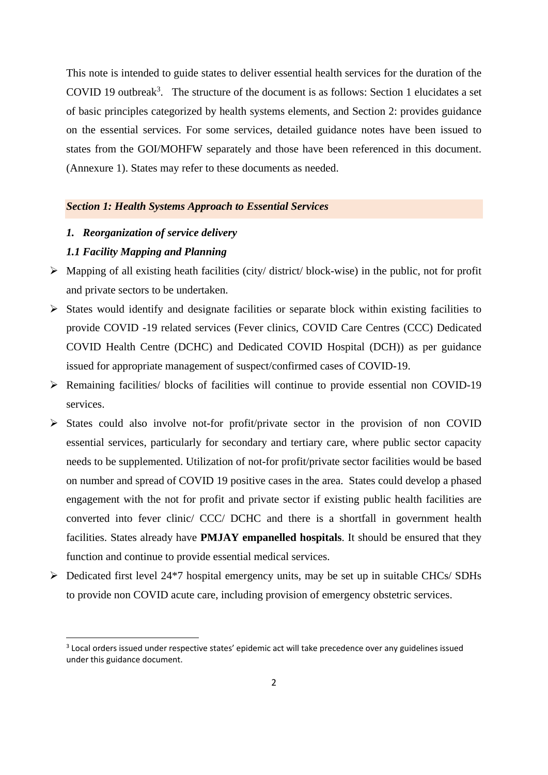This note is intended to guide states to deliver essential health services for the duration of the COVID 19 outbreak<sup>3</sup>. The structure of the document is as follows: Section 1 elucidates a set of basic principles categorized by health systems elements, and Section 2: provides guidance on the essential services. For some services, detailed guidance notes have been issued to states from the GOI/MOHFW separately and those have been referenced in this document. (Annexure 1). States may refer to these documents as needed.

## *Section 1: Health Systems Approach to Essential Services*

*1. Reorganization of service delivery*

#### *1.1 Facility Mapping and Planning*

- $\triangleright$  Mapping of all existing heath facilities (city/ district/ block-wise) in the public, not for profit and private sectors to be undertaken.
- ➢ States would identify and designate facilities or separate block within existing facilities to provide COVID -19 related services (Fever clinics, COVID Care Centres (CCC) Dedicated COVID Health Centre (DCHC) and Dedicated COVID Hospital (DCH)) as per guidance issued for appropriate management of suspect/confirmed cases of COVID-19.
- ➢ Remaining facilities/ blocks of facilities will continue to provide essential non COVID-19 services.
- ➢ States could also involve not-for profit/private sector in the provision of non COVID essential services, particularly for secondary and tertiary care, where public sector capacity needs to be supplemented. Utilization of not-for profit/private sector facilities would be based on number and spread of COVID 19 positive cases in the area. States could develop a phased engagement with the not for profit and private sector if existing public health facilities are converted into fever clinic/ CCC/ DCHC and there is a shortfall in government health facilities. States already have **PMJAY empanelled hospitals**. It should be ensured that they function and continue to provide essential medical services.
- $\triangleright$  Dedicated first level 24<sup>\*7</sup> hospital emergency units, may be set up in suitable CHCs/ SDHs to provide non COVID acute care, including provision of emergency obstetric services.

<sup>&</sup>lt;sup>3</sup> Local orders issued under respective states' epidemic act will take precedence over any guidelines issued under this guidance document.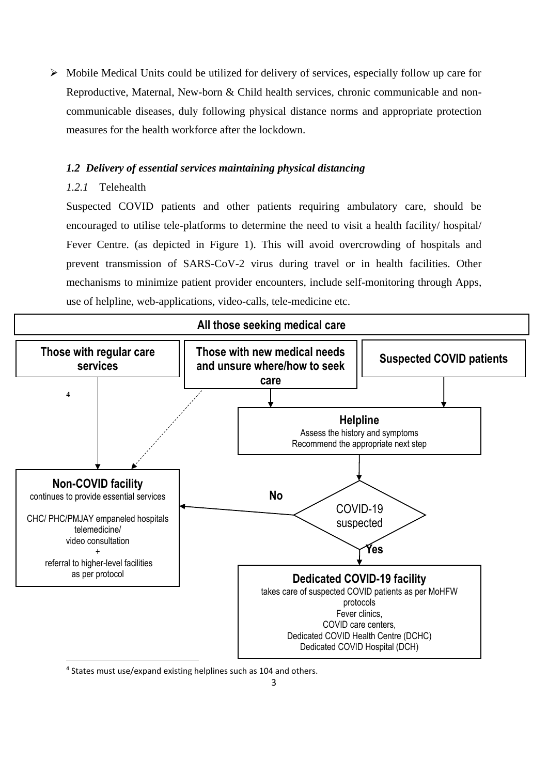➢ Mobile Medical Units could be utilized for delivery of services, especially follow up care for Reproductive, Maternal, New-born & Child health services, chronic communicable and noncommunicable diseases, duly following physical distance norms and appropriate protection measures for the health workforce after the lockdown.

## *1.2 Delivery of essential services maintaining physical distancing*

## *1.2.1* Telehealth

Suspected COVID patients and other patients requiring ambulatory care, should be encouraged to utilise tele-platforms to determine the need to visit a health facility/ hospital/ Fever Centre. (as depicted in Figure 1). This will avoid overcrowding of hospitals and prevent transmission of SARS-CoV-2 virus during travel or in health facilities. Other mechanisms to minimize patient provider encounters, include self-monitoring through Apps, use of helpline, web-applications, video-calls, tele-medicine etc.



4 States must use/expand existing helplines such as 104 and others.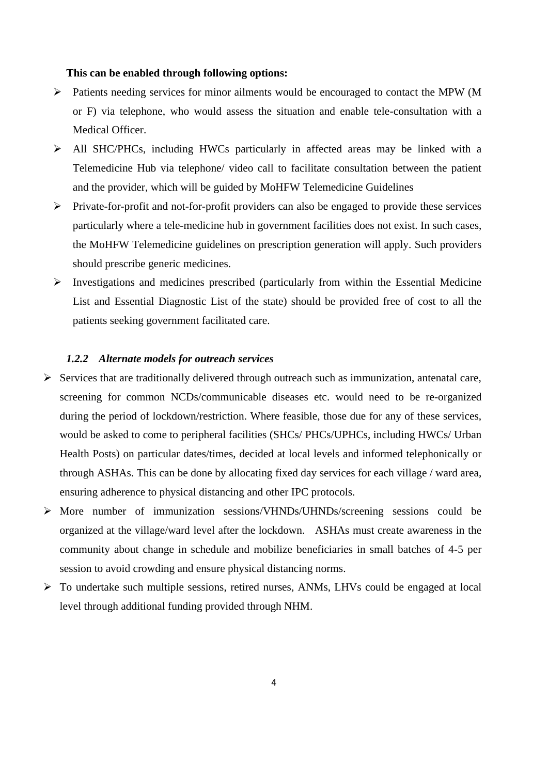#### **This can be enabled through following options:**

- ➢ Patients needing services for minor ailments would be encouraged to contact the MPW (M or F) via telephone, who would assess the situation and enable tele-consultation with a Medical Officer.
- ➢ All SHC/PHCs, including HWCs particularly in affected areas may be linked with a Telemedicine Hub via telephone/ video call to facilitate consultation between the patient and the provider, which will be guided by MoHFW Telemedicine Guidelines
- ➢ Private-for-profit and not-for-profit providers can also be engaged to provide these services particularly where a tele-medicine hub in government facilities does not exist. In such cases, the MoHFW Telemedicine guidelines on prescription generation will apply. Such providers should prescribe generic medicines.
- ➢ Investigations and medicines prescribed (particularly from within the Essential Medicine List and Essential Diagnostic List of the state) should be provided free of cost to all the patients seeking government facilitated care.

## *1.2.2 Alternate models for outreach services*

- ➢ Services that are traditionally delivered through outreach such as immunization, antenatal care, screening for common NCDs/communicable diseases etc. would need to be re-organized during the period of lockdown/restriction. Where feasible, those due for any of these services, would be asked to come to peripheral facilities (SHCs/ PHCs/UPHCs, including HWCs/ Urban Health Posts) on particular dates/times, decided at local levels and informed telephonically or through ASHAs. This can be done by allocating fixed day services for each village / ward area, ensuring adherence to physical distancing and other IPC protocols.
- ➢ More number of immunization sessions/VHNDs/UHNDs/screening sessions could be organized at the village/ward level after the lockdown. ASHAs must create awareness in the community about change in schedule and mobilize beneficiaries in small batches of 4-5 per session to avoid crowding and ensure physical distancing norms.
- ➢ To undertake such multiple sessions, retired nurses, ANMs, LHVs could be engaged at local level through additional funding provided through NHM.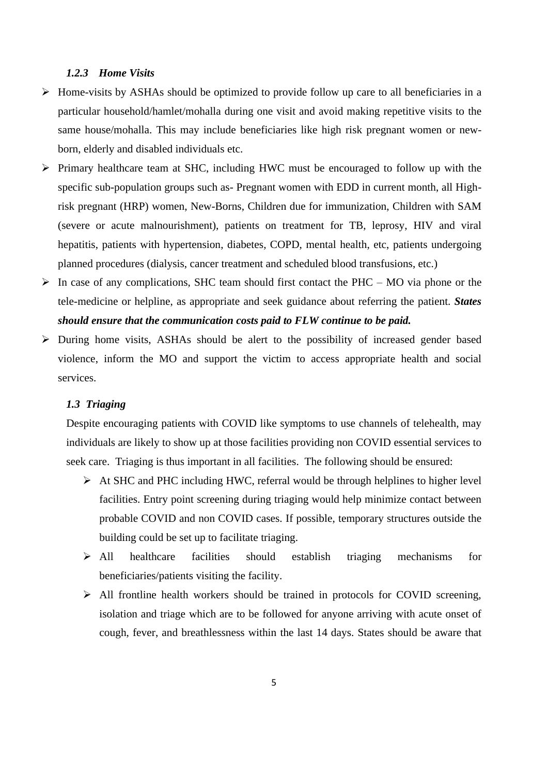#### *1.2.3 Home Visits*

- ➢ Home-visits by ASHAs should be optimized to provide follow up care to all beneficiaries in a particular household/hamlet/mohalla during one visit and avoid making repetitive visits to the same house/mohalla. This may include beneficiaries like high risk pregnant women or newborn, elderly and disabled individuals etc.
- ➢ Primary healthcare team at SHC, including HWC must be encouraged to follow up with the specific sub-population groups such as- Pregnant women with EDD in current month, all Highrisk pregnant (HRP) women, New-Borns, Children due for immunization, Children with SAM (severe or acute malnourishment), patients on treatment for TB, leprosy, HIV and viral hepatitis, patients with hypertension, diabetes, COPD, mental health, etc, patients undergoing planned procedures (dialysis, cancer treatment and scheduled blood transfusions, etc.)
- $\triangleright$  In case of any complications, SHC team should first contact the PHC MO via phone or the tele-medicine or helpline, as appropriate and seek guidance about referring the patient. *States should ensure that the communication costs paid to FLW continue to be paid.*
- ➢ During home visits, ASHAs should be alert to the possibility of increased gender based violence, inform the MO and support the victim to access appropriate health and social services.

#### *1.3 Triaging*

Despite encouraging patients with COVID like symptoms to use channels of telehealth, may individuals are likely to show up at those facilities providing non COVID essential services to seek care. Triaging is thus important in all facilities. The following should be ensured:

- ➢ At SHC and PHC including HWC, referral would be through helplines to higher level facilities. Entry point screening during triaging would help minimize contact between probable COVID and non COVID cases. If possible, temporary structures outside the building could be set up to facilitate triaging.
- ➢ All healthcare facilities should establish triaging mechanisms for beneficiaries/patients visiting the facility.
- ➢ All frontline health workers should be trained in protocols for COVID screening, isolation and triage which are to be followed for anyone arriving with acute onset of cough, fever, and breathlessness within the last 14 days. States should be aware that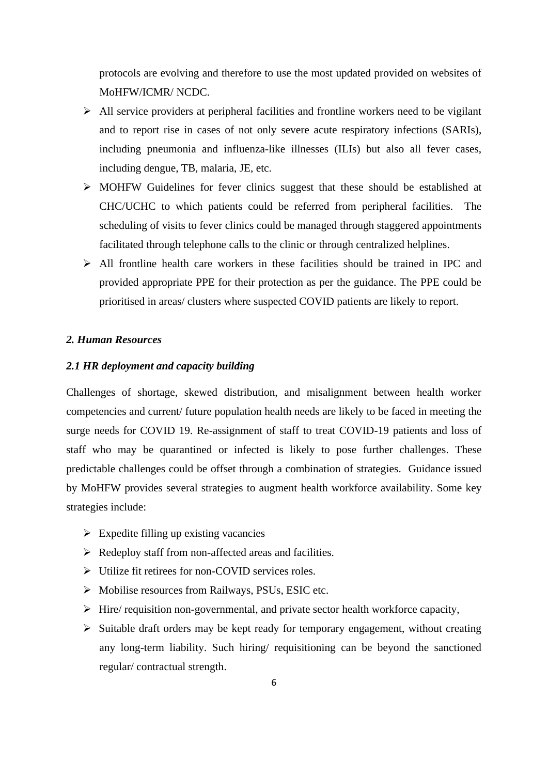protocols are evolving and therefore to use the most updated provided on websites of MoHFW/ICMR/ NCDC.

- ➢ All service providers at peripheral facilities and frontline workers need to be vigilant and to report rise in cases of not only severe acute respiratory infections (SARIs), including pneumonia and influenza-like illnesses (ILIs) but also all fever cases, including dengue, TB, malaria, JE, etc.
- ➢ MOHFW Guidelines for fever clinics suggest that these should be established at CHC/UCHC to which patients could be referred from peripheral facilities. The scheduling of visits to fever clinics could be managed through staggered appointments facilitated through telephone calls to the clinic or through centralized helplines.
- ➢ All frontline health care workers in these facilities should be trained in IPC and provided appropriate PPE for their protection as per the guidance. The PPE could be prioritised in areas/ clusters where suspected COVID patients are likely to report.

## *2. Human Resources*

#### *2.1 HR deployment and capacity building*

Challenges of shortage, skewed distribution, and misalignment between health worker competencies and current/ future population health needs are likely to be faced in meeting the surge needs for COVID 19. Re-assignment of staff to treat COVID-19 patients and loss of staff who may be quarantined or infected is likely to pose further challenges. These predictable challenges could be offset through a combination of strategies. Guidance issued by MoHFW provides several strategies to augment health workforce availability. Some key strategies include:

- $\triangleright$  Expedite filling up existing vacancies
- ➢ Redeploy staff from non-affected areas and facilities.
- ➢ Utilize fit retirees for non-COVID services roles.
- ➢ Mobilise resources from Railways, PSUs, ESIC etc.
- ➢ Hire/ requisition non-governmental, and private sector health workforce capacity,
- ➢ Suitable draft orders may be kept ready for temporary engagement, without creating any long-term liability. Such hiring/ requisitioning can be beyond the sanctioned regular/ contractual strength.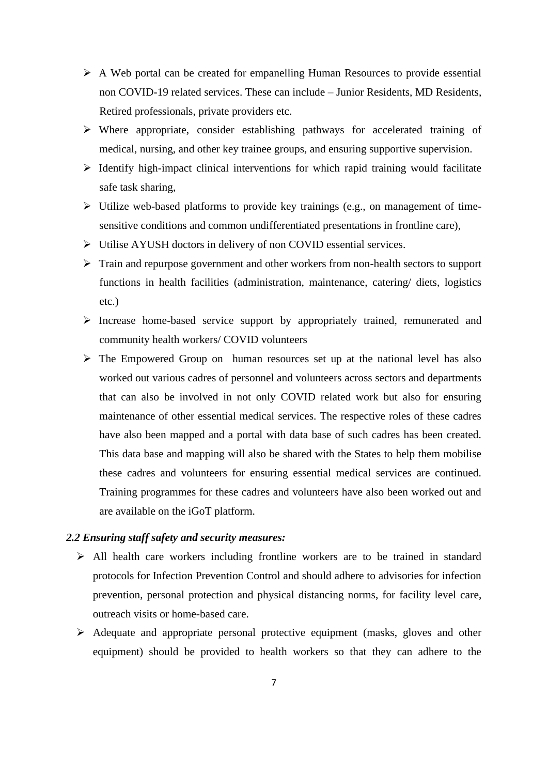- ➢ A Web portal can be created for empanelling Human Resources to provide essential non COVID-19 related services. These can include – Junior Residents, MD Residents, Retired professionals, private providers etc.
- ➢ Where appropriate, consider establishing pathways for accelerated training of medical, nursing, and other key trainee groups, and ensuring supportive supervision.
- $\triangleright$  Identify high-impact clinical interventions for which rapid training would facilitate safe task sharing,
- ➢ Utilize web-based platforms to provide key trainings (e.g., on management of timesensitive conditions and common undifferentiated presentations in frontline care),
- ➢ Utilise AYUSH doctors in delivery of non COVID essential services.
- ➢ Train and repurpose government and other workers from non-health sectors to support functions in health facilities (administration, maintenance, catering/ diets, logistics etc.)
- ➢ Increase home-based service support by appropriately trained, remunerated and community health workers/ COVID volunteers
- ➢ The Empowered Group on human resources set up at the national level has also worked out various cadres of personnel and volunteers across sectors and departments that can also be involved in not only COVID related work but also for ensuring maintenance of other essential medical services. The respective roles of these cadres have also been mapped and a portal with data base of such cadres has been created. This data base and mapping will also be shared with the States to help them mobilise these cadres and volunteers for ensuring essential medical services are continued. Training programmes for these cadres and volunteers have also been worked out and are available on the iGoT platform.

## *2.2 Ensuring staff safety and security measures:*

- ➢ All health care workers including frontline workers are to be trained in standard protocols for Infection Prevention Control and should adhere to advisories for infection prevention, personal protection and physical distancing norms, for facility level care, outreach visits or home-based care.
- ➢ Adequate and appropriate personal protective equipment (masks, gloves and other equipment) should be provided to health workers so that they can adhere to the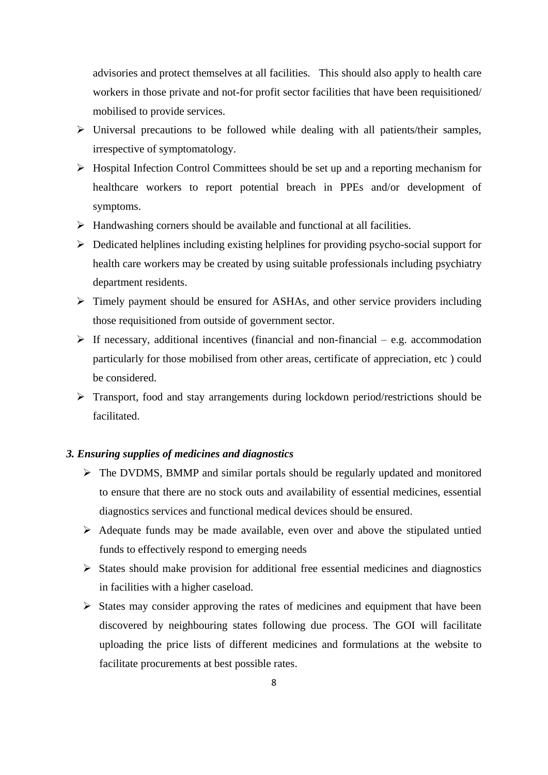advisories and protect themselves at all facilities. This should also apply to health care workers in those private and not-for profit sector facilities that have been requisitioned/ mobilised to provide services.

- ➢ Universal precautions to be followed while dealing with all patients/their samples, irrespective of symptomatology.
- ➢ Hospital Infection Control Committees should be set up and a reporting mechanism for healthcare workers to report potential breach in PPEs and/or development of symptoms.
- ➢ Handwashing corners should be available and functional at all facilities.
- ➢ Dedicated helplines including existing helplines for providing psycho-social support for health care workers may be created by using suitable professionals including psychiatry department residents.
- ➢ Timely payment should be ensured for ASHAs, and other service providers including those requisitioned from outside of government sector.
- $\triangleright$  If necessary, additional incentives (financial and non-financial e.g. accommodation particularly for those mobilised from other areas, certificate of appreciation, etc ) could be considered.
- ➢ Transport, food and stay arrangements during lockdown period/restrictions should be facilitated.

#### *3. Ensuring supplies of medicines and diagnostics*

- ➢ The DVDMS, BMMP and similar portals should be regularly updated and monitored to ensure that there are no stock outs and availability of essential medicines, essential diagnostics services and functional medical devices should be ensured.
- ➢ Adequate funds may be made available, even over and above the stipulated untied funds to effectively respond to emerging needs
- ➢ States should make provision for additional free essential medicines and diagnostics in facilities with a higher caseload.
- ➢ States may consider approving the rates of medicines and equipment that have been discovered by neighbouring states following due process. The GOI will facilitate uploading the price lists of different medicines and formulations at the website to facilitate procurements at best possible rates.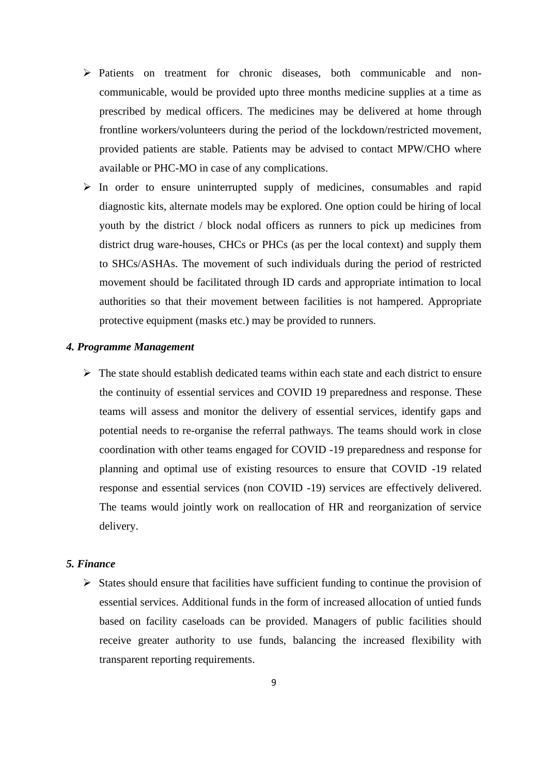- ➢ Patients on treatment for chronic diseases, both communicable and noncommunicable, would be provided upto three months medicine supplies at a time as prescribed by medical officers. The medicines may be delivered at home through frontline workers/volunteers during the period of the lockdown/restricted movement, provided patients are stable. Patients may be advised to contact MPW/CHO where available or PHC-MO in case of any complications.
- $\triangleright$  In order to ensure uninterrupted supply of medicines, consumables and rapid diagnostic kits, alternate models may be explored. One option could be hiring of local youth by the district / block nodal officers as runners to pick up medicines from district drug ware-houses, CHCs or PHCs (as per the local context) and supply them to SHCs/ASHAs. The movement of such individuals during the period of restricted movement should be facilitated through ID cards and appropriate intimation to local authorities so that their movement between facilities is not hampered. Appropriate protective equipment (masks etc.) may be provided to runners.

#### *4. Programme Management*

➢ The state should establish dedicated teams within each state and each district to ensure the continuity of essential services and COVID 19 preparedness and response. These teams will assess and monitor the delivery of essential services, identify gaps and potential needs to re-organise the referral pathways. The teams should work in close coordination with other teams engaged for COVID -19 preparedness and response for planning and optimal use of existing resources to ensure that COVID -19 related response and essential services (non COVID -19) services are effectively delivered. The teams would jointly work on reallocation of HR and reorganization of service delivery.

## *5. Finance*

➢ States should ensure that facilities have sufficient funding to continue the provision of essential services. Additional funds in the form of increased allocation of untied funds based on facility caseloads can be provided. Managers of public facilities should receive greater authority to use funds, balancing the increased flexibility with transparent reporting requirements.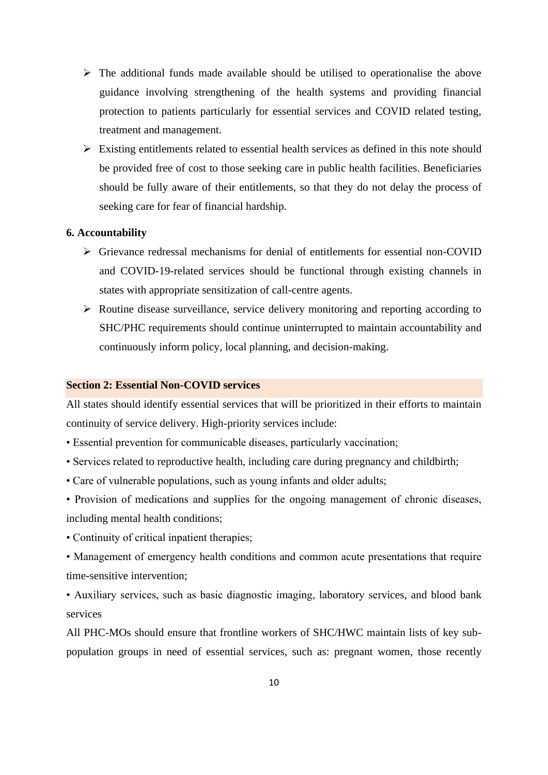- $\triangleright$  The additional funds made available should be utilised to operationalise the above guidance involving strengthening of the health systems and providing financial protection to patients particularly for essential services and COVID related testing, treatment and management.
- $\triangleright$  Existing entitlements related to essential health services as defined in this note should be provided free of cost to those seeking care in public health facilities. Beneficiaries should be fully aware of their entitlements, so that they do not delay the process of seeking care for fear of financial hardship.

#### **6. Accountability**

- ➢ Grievance redressal mechanisms for denial of entitlements for essential non-COVID and COVID-19-related services should be functional through existing channels in states with appropriate sensitization of call-centre agents.
- ➢ Routine disease surveillance, service delivery monitoring and reporting according to SHC/PHC requirements should continue uninterrupted to maintain accountability and continuously inform policy, local planning, and decision-making.

#### **Section 2: Essential Non-COVID services**

All states should identify essential services that will be prioritized in their efforts to maintain continuity of service delivery. High-priority services include:

- Essential prevention for communicable diseases, particularly vaccination;
- Services related to reproductive health, including care during pregnancy and childbirth;
- Care of vulnerable populations, such as young infants and older adults;
- Provision of medications and supplies for the ongoing management of chronic diseases, including mental health conditions;
- Continuity of critical inpatient therapies;
- Management of emergency health conditions and common acute presentations that require time-sensitive intervention;
- Auxiliary services, such as basic diagnostic imaging, laboratory services, and blood bank services

All PHC-MOs should ensure that frontline workers of SHC/HWC maintain lists of key subpopulation groups in need of essential services, such as: pregnant women, those recently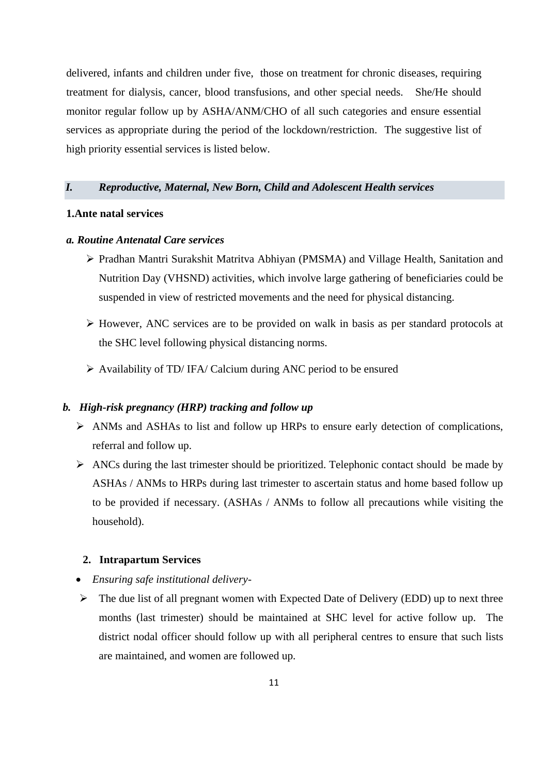delivered, infants and children under five, those on treatment for chronic diseases, requiring treatment for dialysis, cancer, blood transfusions, and other special needs. She/He should monitor regular follow up by ASHA/ANM/CHO of all such categories and ensure essential services as appropriate during the period of the lockdown/restriction. The suggestive list of high priority essential services is listed below.

## *I. Reproductive, Maternal, New Born, Child and Adolescent Health services*

#### **1.Ante natal services**

## *a. Routine Antenatal Care services*

- ➢ Pradhan Mantri Surakshit Matritva Abhiyan (PMSMA) and Village Health, Sanitation and Nutrition Day (VHSND) activities, which involve large gathering of beneficiaries could be suspended in view of restricted movements and the need for physical distancing.
- ➢ However, ANC services are to be provided on walk in basis as per standard protocols at the SHC level following physical distancing norms.
- ➢ Availability of TD/ IFA/ Calcium during ANC period to be ensured

#### *b. High-risk pregnancy (HRP) tracking and follow up*

- ➢ ANMs and ASHAs to list and follow up HRPs to ensure early detection of complications, referral and follow up.
- $\triangleright$  ANCs during the last trimester should be prioritized. Telephonic contact should be made by ASHAs / ANMs to HRPs during last trimester to ascertain status and home based follow up to be provided if necessary. (ASHAs / ANMs to follow all precautions while visiting the household).

## **2. Intrapartum Services**

- *Ensuring safe institutional delivery-*
- ➢ The due list of all pregnant women with Expected Date of Delivery (EDD) up to next three months (last trimester) should be maintained at SHC level for active follow up. The district nodal officer should follow up with all peripheral centres to ensure that such lists are maintained, and women are followed up.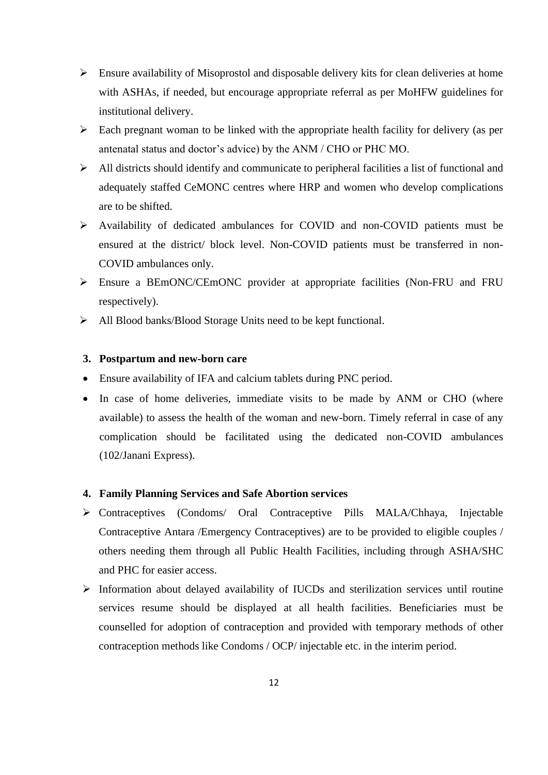- $\triangleright$  Ensure availability of Misoprostol and disposable delivery kits for clean deliveries at home with ASHAs, if needed, but encourage appropriate referral as per MoHFW guidelines for institutional delivery.
- $\triangleright$  Each pregnant woman to be linked with the appropriate health facility for delivery (as per antenatal status and doctor's advice) by the ANM / CHO or PHC MO.
- ➢ All districts should identify and communicate to peripheral facilities a list of functional and adequately staffed CeMONC centres where HRP and women who develop complications are to be shifted.
- ➢ Availability of dedicated ambulances for COVID and non-COVID patients must be ensured at the district/ block level. Non-COVID patients must be transferred in non-COVID ambulances only.
- ➢ Ensure a BEmONC/CEmONC provider at appropriate facilities (Non-FRU and FRU respectively).
- ➢ All Blood banks/Blood Storage Units need to be kept functional.

#### **3. Postpartum and new-born care**

- Ensure availability of IFA and calcium tablets during PNC period.
- In case of home deliveries, immediate visits to be made by ANM or CHO (where available) to assess the health of the woman and new-born. Timely referral in case of any complication should be facilitated using the dedicated non-COVID ambulances (102/Janani Express).

#### **4. Family Planning Services and Safe Abortion services**

- ➢ Contraceptives (Condoms/ Oral Contraceptive Pills MALA/Chhaya, Injectable Contraceptive Antara /Emergency Contraceptives) are to be provided to eligible couples / others needing them through all Public Health Facilities, including through ASHA/SHC and PHC for easier access.
- ➢ Information about delayed availability of IUCDs and sterilization services until routine services resume should be displayed at all health facilities. Beneficiaries must be counselled for adoption of contraception and provided with temporary methods of other contraception methods like Condoms / OCP/ injectable etc. in the interim period.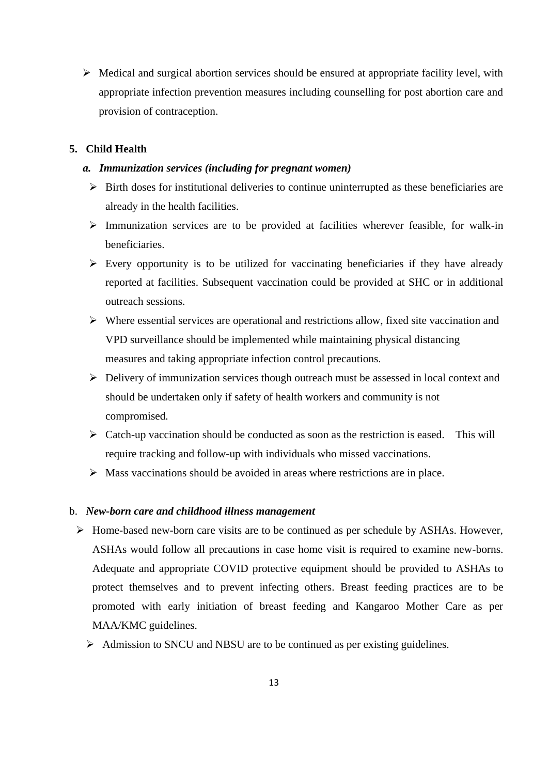$\triangleright$  Medical and surgical abortion services should be ensured at appropriate facility level, with appropriate infection prevention measures including counselling for post abortion care and provision of contraception.

## **5. Child Health**

#### *a. Immunization services (including for pregnant women)*

- ➢ Birth doses for institutional deliveries to continue uninterrupted as these beneficiaries are already in the health facilities.
- ➢ Immunization services are to be provided at facilities wherever feasible, for walk-in beneficiaries.
- ➢ Every opportunity is to be utilized for vaccinating beneficiaries if they have already reported at facilities. Subsequent vaccination could be provided at SHC or in additional outreach sessions.
- ➢ Where essential services are operational and restrictions allow, fixed site vaccination and VPD surveillance should be implemented while maintaining physical distancing measures and taking appropriate infection control precautions.
- ➢ Delivery of immunization services though outreach must be assessed in local context and should be undertaken only if safety of health workers and community is not compromised.
- $\triangleright$  Catch-up vaccination should be conducted as soon as the restriction is eased. This will require tracking and follow-up with individuals who missed vaccinations.
- ➢ Mass vaccinations should be avoided in areas where restrictions are in place.

#### b. *New-born care and childhood illness management*

- ➢ Home-based new-born care visits are to be continued as per schedule by ASHAs. However, ASHAs would follow all precautions in case home visit is required to examine new-borns. Adequate and appropriate COVID protective equipment should be provided to ASHAs to protect themselves and to prevent infecting others. Breast feeding practices are to be promoted with early initiation of breast feeding and Kangaroo Mother Care as per MAA/KMC guidelines.
	- ➢ Admission to SNCU and NBSU are to be continued as per existing guidelines.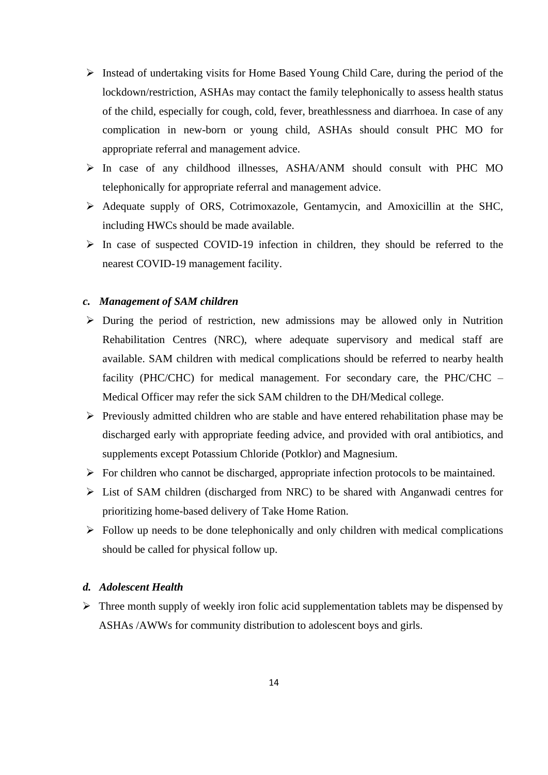- ➢ Instead of undertaking visits for Home Based Young Child Care, during the period of the lockdown/restriction, ASHAs may contact the family telephonically to assess health status of the child, especially for cough, cold, fever, breathlessness and diarrhoea. In case of any complication in new-born or young child, ASHAs should consult PHC MO for appropriate referral and management advice.
- ➢ In case of any childhood illnesses, ASHA/ANM should consult with PHC MO telephonically for appropriate referral and management advice.
- ➢ Adequate supply of ORS, Cotrimoxazole, Gentamycin, and Amoxicillin at the SHC, including HWCs should be made available.
- ➢ In case of suspected COVID-19 infection in children, they should be referred to the nearest COVID-19 management facility.

## *c. Management of SAM children*

- ➢ During the period of restriction, new admissions may be allowed only in Nutrition Rehabilitation Centres (NRC), where adequate supervisory and medical staff are available. SAM children with medical complications should be referred to nearby health facility (PHC/CHC) for medical management. For secondary care, the PHC/CHC – Medical Officer may refer the sick SAM children to the DH/Medical college.
- ➢ Previously admitted children who are stable and have entered rehabilitation phase may be discharged early with appropriate feeding advice, and provided with oral antibiotics, and supplements except Potassium Chloride (Potklor) and Magnesium.
- $\triangleright$  For children who cannot be discharged, appropriate infection protocols to be maintained.
- ➢ List of SAM children (discharged from NRC) to be shared with Anganwadi centres for prioritizing home-based delivery of Take Home Ration.
- $\triangleright$  Follow up needs to be done telephonically and only children with medical complications should be called for physical follow up.

## *d. Adolescent Health*

 $\triangleright$  Three month supply of weekly iron folic acid supplementation tablets may be dispensed by ASHAs /AWWs for community distribution to adolescent boys and girls.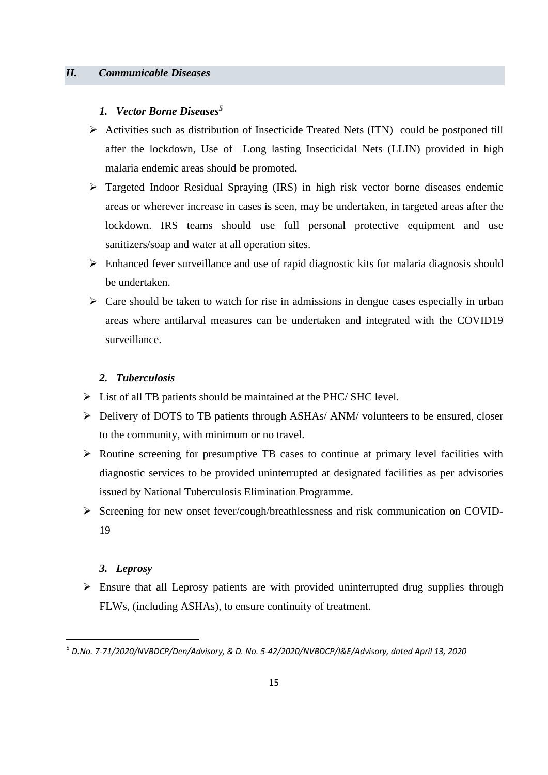## *1. Vector Borne Diseases<sup>5</sup>*

- ➢ Activities such as distribution of Insecticide Treated Nets (ITN) could be postponed till after the lockdown, Use of Long lasting Insecticidal Nets (LLIN) provided in high malaria endemic areas should be promoted.
- ➢ Targeted Indoor Residual Spraying (IRS) in high risk vector borne diseases endemic areas or wherever increase in cases is seen, may be undertaken, in targeted areas after the lockdown. IRS teams should use full personal protective equipment and use sanitizers/soap and water at all operation sites.
- ➢ Enhanced fever surveillance and use of rapid diagnostic kits for malaria diagnosis should be undertaken.
- $\triangleright$  Care should be taken to watch for rise in admissions in dengue cases especially in urban areas where antilarval measures can be undertaken and integrated with the COVID19 surveillance.

## *2. Tuberculosis*

- ➢ List of all TB patients should be maintained at the PHC/ SHC level.
- ➢ Delivery of DOTS to TB patients through ASHAs/ ANM/ volunteers to be ensured, closer to the community, with minimum or no travel.
- ➢ Routine screening for presumptive TB cases to continue at primary level facilities with diagnostic services to be provided uninterrupted at designated facilities as per advisories issued by National Tuberculosis Elimination Programme.
- ➢ Screening for new onset fever/cough/breathlessness and risk communication on COVID-19

## *3. Leprosy*

➢ Ensure that all Leprosy patients are with provided uninterrupted drug supplies through FLWs, (including ASHAs), to ensure continuity of treatment.

<sup>5</sup> *D.No. 7-71/2020/NVBDCP/Den/Advisory, & D. No. 5-42/2020/NVBDCP/I&E/Advisory, dated April 13, 2020*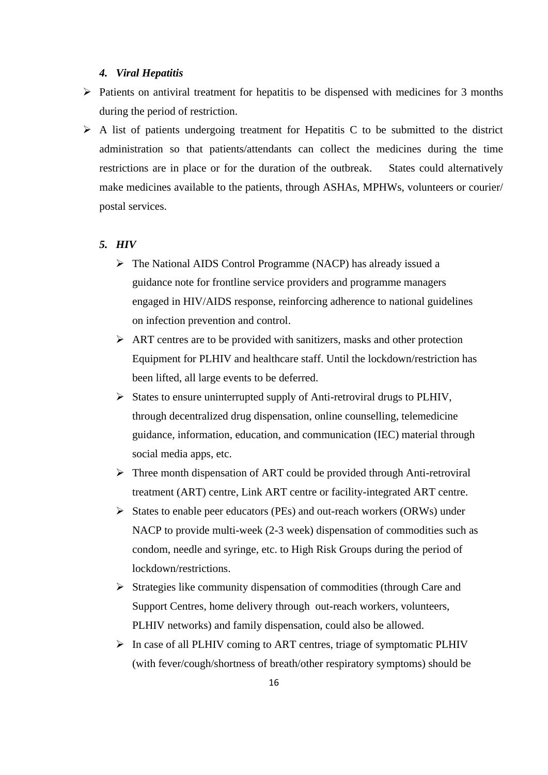#### *4. Viral Hepatitis*

- ➢ Patients on antiviral treatment for hepatitis to be dispensed with medicines for 3 months during the period of restriction.
- $\triangleright$  A list of patients undergoing treatment for Hepatitis C to be submitted to the district administration so that patients/attendants can collect the medicines during the time restrictions are in place or for the duration of the outbreak. States could alternatively make medicines available to the patients, through ASHAs, MPHWs, volunteers or courier/ postal services.

#### *5. HIV*

- ➢ The National AIDS Control Programme (NACP) has already issued a guidance note for frontline service providers and programme managers engaged in HIV/AIDS response, reinforcing adherence to national guidelines on infection prevention and control.
- $\triangleright$  ART centres are to be provided with sanitizers, masks and other protection Equipment for PLHIV and healthcare staff. Until the lockdown/restriction has been lifted, all large events to be deferred.
- ➢ States to ensure uninterrupted supply of Anti-retroviral drugs to PLHIV, through decentralized drug dispensation, online counselling, telemedicine guidance, information, education, and communication (IEC) material through social media apps, etc.
- ➢ Three month dispensation of ART could be provided through Anti-retroviral treatment (ART) centre, Link ART centre or facility-integrated ART centre.
- ➢ States to enable peer educators (PEs) and out-reach workers (ORWs) under NACP to provide multi-week (2-3 week) dispensation of commodities such as condom, needle and syringe, etc. to High Risk Groups during the period of lockdown/restrictions.
- ➢ Strategies like community dispensation of commodities (through Care and Support Centres, home delivery through out-reach workers, volunteers, PLHIV networks) and family dispensation, could also be allowed.
- ➢ In case of all PLHIV coming to ART centres, triage of symptomatic PLHIV (with fever/cough/shortness of breath/other respiratory symptoms) should be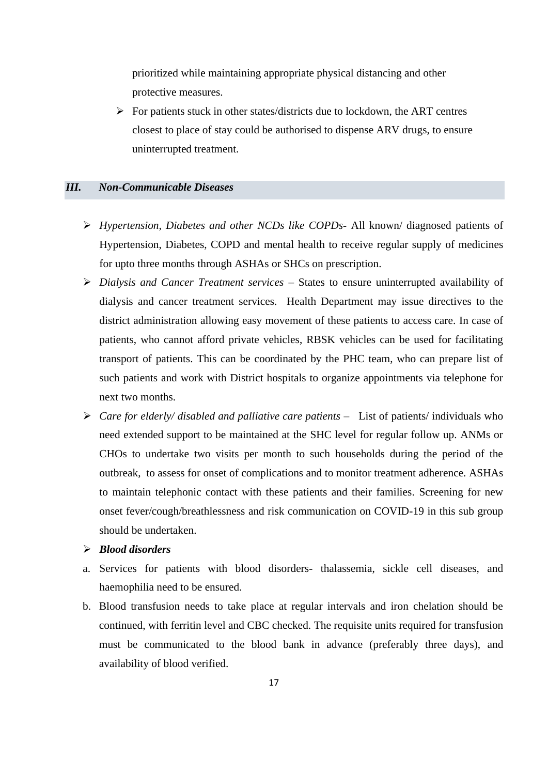prioritized while maintaining appropriate physical distancing and other protective measures.

➢ For patients stuck in other states/districts due to lockdown, the ART centres closest to place of stay could be authorised to dispense ARV drugs, to ensure uninterrupted treatment.

## *III. Non-Communicable Diseases*

- ➢ *Hypertension, Diabetes and other NCDs like COPDs-* All known/ diagnosed patients of Hypertension, Diabetes, COPD and mental health to receive regular supply of medicines for upto three months through ASHAs or SHCs on prescription.
- ➢ *Dialysis and Cancer Treatment services* States to ensure uninterrupted availability of dialysis and cancer treatment services. Health Department may issue directives to the district administration allowing easy movement of these patients to access care. In case of patients, who cannot afford private vehicles, RBSK vehicles can be used for facilitating transport of patients. This can be coordinated by the PHC team, who can prepare list of such patients and work with District hospitals to organize appointments via telephone for next two months.
- ➢ *Care for elderly/ disabled and palliative care patients* List of patients/ individuals who need extended support to be maintained at the SHC level for regular follow up. ANMs or CHOs to undertake two visits per month to such households during the period of the outbreak, to assess for onset of complications and to monitor treatment adherence. ASHAs to maintain telephonic contact with these patients and their families. Screening for new onset fever/cough/breathlessness and risk communication on COVID-19 in this sub group should be undertaken.

## ➢ *Blood disorders*

- a. Services for patients with blood disorders- thalassemia, sickle cell diseases, and haemophilia need to be ensured.
- b. Blood transfusion needs to take place at regular intervals and iron chelation should be continued, with ferritin level and CBC checked. The requisite units required for transfusion must be communicated to the blood bank in advance (preferably three days), and availability of blood verified.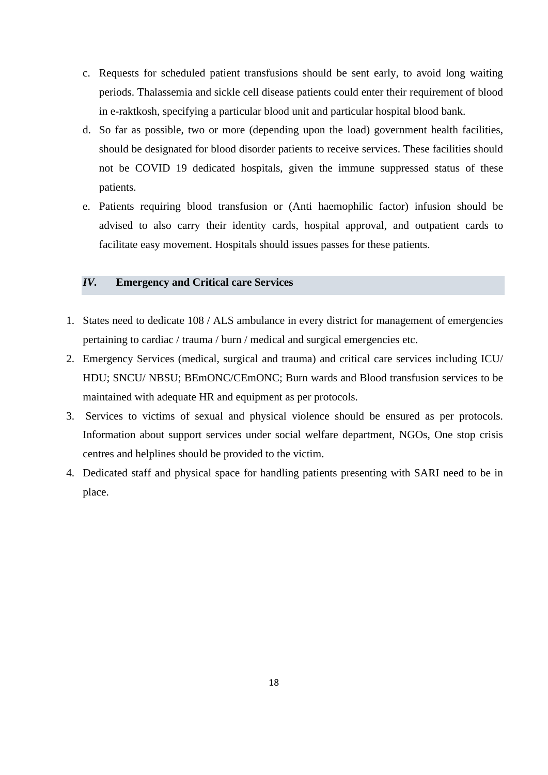- c. Requests for scheduled patient transfusions should be sent early, to avoid long waiting periods. Thalassemia and sickle cell disease patients could enter their requirement of blood in e-raktkosh, specifying a particular blood unit and particular hospital blood bank.
- d. So far as possible, two or more (depending upon the load) government health facilities, should be designated for blood disorder patients to receive services. These facilities should not be COVID 19 dedicated hospitals, given the immune suppressed status of these patients.
- e. Patients requiring blood transfusion or (Anti haemophilic factor) infusion should be advised to also carry their identity cards, hospital approval, and outpatient cards to facilitate easy movement. Hospitals should issues passes for these patients.

## *IV.* **Emergency and Critical care Services**

- 1. States need to dedicate 108 / ALS ambulance in every district for management of emergencies pertaining to cardiac / trauma / burn / medical and surgical emergencies etc.
- 2. Emergency Services (medical, surgical and trauma) and critical care services including ICU/ HDU; SNCU/ NBSU; BEmONC/CEmONC; Burn wards and Blood transfusion services to be maintained with adequate HR and equipment as per protocols.
- 3. Services to victims of sexual and physical violence should be ensured as per protocols. Information about support services under social welfare department, NGOs, One stop crisis centres and helplines should be provided to the victim.
- 4. Dedicated staff and physical space for handling patients presenting with SARI need to be in place.